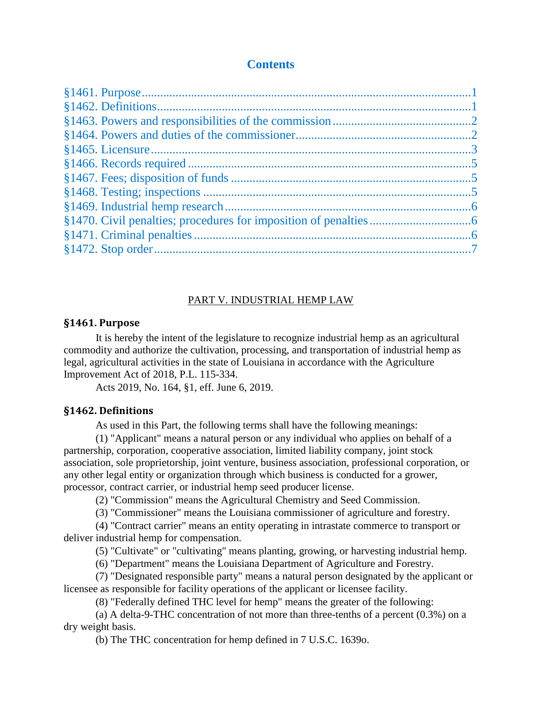# **Contents**

| §1472. Stop order 1.17 |  |
|------------------------|--|
|                        |  |

#### PART V. INDUSTRIAL HEMP LAW

#### **§1461. Purpose**

 It is hereby the intent of the legislature to recognize industrial hemp as an agricultural commodity and authorize the cultivation, processing, and transportation of industrial hemp as legal, agricultural activities in the state of Louisiana in accordance with the Agriculture Improvement Act of 2018, P.L. 115-334.

Acts 2019, No. 164, §1, eff. June 6, 2019.

#### **§1462. Definitions**

As used in this Part, the following terms shall have the following meanings:

 (1) "Applicant" means a natural person or any individual who applies on behalf of a partnership, corporation, cooperative association, limited liability company, joint stock association, sole proprietorship, joint venture, business association, professional corporation, or any other legal entity or organization through which business is conducted for a grower, processor, contract carrier, or industrial hemp seed producer license.

(2) "Commission" means the Agricultural Chemistry and Seed Commission.

(3) "Commissioner" means the Louisiana commissioner of agriculture and forestry.

 (4) "Contract carrier" means an entity operating in intrastate commerce to transport or deliver industrial hemp for compensation.

(5) "Cultivate" or "cultivating" means planting, growing, or harvesting industrial hemp.

(6) "Department" means the Louisiana Department of Agriculture and Forestry.

 (7) "Designated responsible party" means a natural person designated by the applicant or licensee as responsible for facility operations of the applicant or licensee facility.

(8) "Federally defined THC level for hemp" means the greater of the following:

 (a) A delta-9-THC concentration of not more than three-tenths of a percent (0.3%) on a dry weight basis.

(b) The THC concentration for hemp defined in 7 U.S.C. 1639o.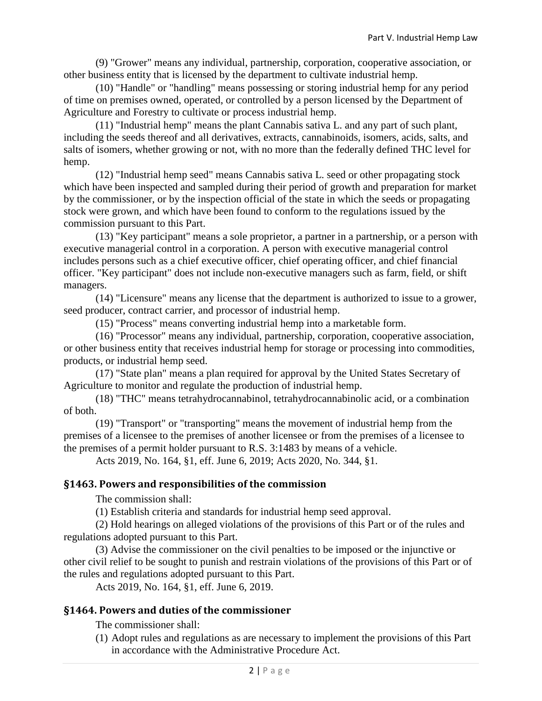(9) "Grower" means any individual, partnership, corporation, cooperative association, or other business entity that is licensed by the department to cultivate industrial hemp.

 (10) "Handle" or "handling" means possessing or storing industrial hemp for any period of time on premises owned, operated, or controlled by a person licensed by the Department of Agriculture and Forestry to cultivate or process industrial hemp.

 (11) "Industrial hemp" means the plant Cannabis sativa L. and any part of such plant, including the seeds thereof and all derivatives, extracts, cannabinoids, isomers, acids, salts, and salts of isomers, whether growing or not, with no more than the federally defined THC level for hemp.

 (12) "Industrial hemp seed" means Cannabis sativa L. seed or other propagating stock which have been inspected and sampled during their period of growth and preparation for market by the commissioner, or by the inspection official of the state in which the seeds or propagating stock were grown, and which have been found to conform to the regulations issued by the commission pursuant to this Part.

 (13) "Key participant" means a sole proprietor, a partner in a partnership, or a person with executive managerial control in a corporation. A person with executive managerial control includes persons such as a chief executive officer, chief operating officer, and chief financial officer. "Key participant" does not include non-executive managers such as farm, field, or shift managers.

 (14) "Licensure" means any license that the department is authorized to issue to a grower, seed producer, contract carrier, and processor of industrial hemp.

(15) "Process" means converting industrial hemp into a marketable form.

 (16) "Processor" means any individual, partnership, corporation, cooperative association, or other business entity that receives industrial hemp for storage or processing into commodities, products, or industrial hemp seed.

 (17) "State plan" means a plan required for approval by the United States Secretary of Agriculture to monitor and regulate the production of industrial hemp.

 (18) "THC" means tetrahydrocannabinol, tetrahydrocannabinolic acid, or a combination of both.

 (19) "Transport" or "transporting" means the movement of industrial hemp from the premises of a licensee to the premises of another licensee or from the premises of a licensee to the premises of a permit holder pursuant to R.S. 3:1483 by means of a vehicle.

Acts 2019, No. 164, §1, eff. June 6, 2019; Acts 2020, No. 344, §1.

## **§1463. Powers and responsibilities of the commission**

The commission shall:

(1) Establish criteria and standards for industrial hemp seed approval.

 (2) Hold hearings on alleged violations of the provisions of this Part or of the rules and regulations adopted pursuant to this Part.

 (3) Advise the commissioner on the civil penalties to be imposed or the injunctive or other civil relief to be sought to punish and restrain violations of the provisions of this Part or of the rules and regulations adopted pursuant to this Part.

Acts 2019, No. 164, §1, eff. June 6, 2019.

## **§1464. Powers and duties of the commissioner**

The commissioner shall:

(1) Adopt rules and regulations as are necessary to implement the provisions of this Part in accordance with the Administrative Procedure Act.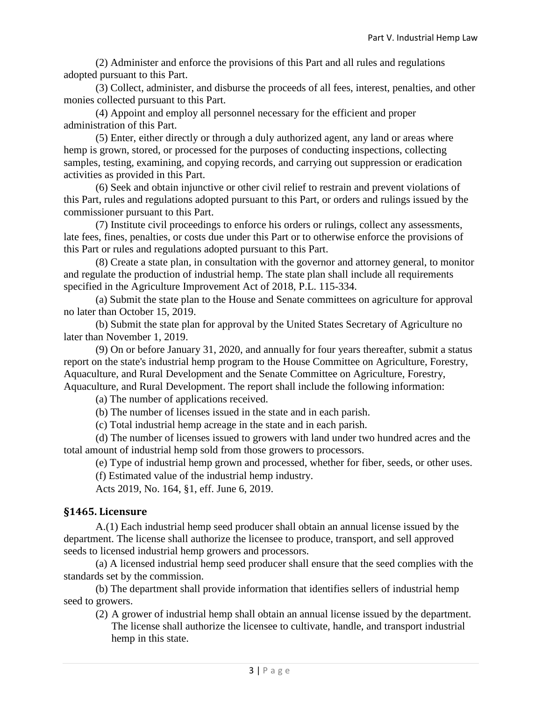(2) Administer and enforce the provisions of this Part and all rules and regulations adopted pursuant to this Part.

 (3) Collect, administer, and disburse the proceeds of all fees, interest, penalties, and other monies collected pursuant to this Part.

 (4) Appoint and employ all personnel necessary for the efficient and proper administration of this Part.

 (5) Enter, either directly or through a duly authorized agent, any land or areas where hemp is grown, stored, or processed for the purposes of conducting inspections, collecting samples, testing, examining, and copying records, and carrying out suppression or eradication activities as provided in this Part.

 (6) Seek and obtain injunctive or other civil relief to restrain and prevent violations of this Part, rules and regulations adopted pursuant to this Part, or orders and rulings issued by the commissioner pursuant to this Part.

 (7) Institute civil proceedings to enforce his orders or rulings, collect any assessments, late fees, fines, penalties, or costs due under this Part or to otherwise enforce the provisions of this Part or rules and regulations adopted pursuant to this Part.

 (8) Create a state plan, in consultation with the governor and attorney general, to monitor and regulate the production of industrial hemp. The state plan shall include all requirements specified in the Agriculture Improvement Act of 2018, P.L. 115-334.

 (a) Submit the state plan to the House and Senate committees on agriculture for approval no later than October 15, 2019.

 (b) Submit the state plan for approval by the United States Secretary of Agriculture no later than November 1, 2019.

 (9) On or before January 31, 2020, and annually for four years thereafter, submit a status report on the state's industrial hemp program to the House Committee on Agriculture, Forestry, Aquaculture, and Rural Development and the Senate Committee on Agriculture, Forestry, Aquaculture, and Rural Development. The report shall include the following information:

(a) The number of applications received.

(b) The number of licenses issued in the state and in each parish.

(c) Total industrial hemp acreage in the state and in each parish.

 (d) The number of licenses issued to growers with land under two hundred acres and the total amount of industrial hemp sold from those growers to processors.

(e) Type of industrial hemp grown and processed, whether for fiber, seeds, or other uses.

(f) Estimated value of the industrial hemp industry.

Acts 2019, No. 164, §1, eff. June 6, 2019.

## **§1465. Licensure**

 A.(1) Each industrial hemp seed producer shall obtain an annual license issued by the department. The license shall authorize the licensee to produce, transport, and sell approved seeds to licensed industrial hemp growers and processors.

 (a) A licensed industrial hemp seed producer shall ensure that the seed complies with the standards set by the commission.

 (b) The department shall provide information that identifies sellers of industrial hemp seed to growers.

(2) A grower of industrial hemp shall obtain an annual license issued by the department. The license shall authorize the licensee to cultivate, handle, and transport industrial hemp in this state.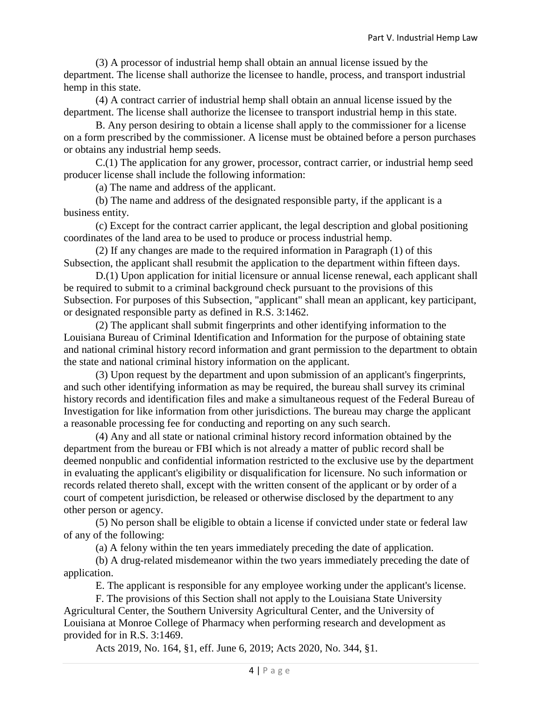(3) A processor of industrial hemp shall obtain an annual license issued by the department. The license shall authorize the licensee to handle, process, and transport industrial hemp in this state.

 (4) A contract carrier of industrial hemp shall obtain an annual license issued by the department. The license shall authorize the licensee to transport industrial hemp in this state.

 B. Any person desiring to obtain a license shall apply to the commissioner for a license on a form prescribed by the commissioner. A license must be obtained before a person purchases or obtains any industrial hemp seeds.

 C.(1) The application for any grower, processor, contract carrier, or industrial hemp seed producer license shall include the following information:

(a) The name and address of the applicant.

 (b) The name and address of the designated responsible party, if the applicant is a business entity.

 (c) Except for the contract carrier applicant, the legal description and global positioning coordinates of the land area to be used to produce or process industrial hemp.

 (2) If any changes are made to the required information in Paragraph (1) of this Subsection, the applicant shall resubmit the application to the department within fifteen days.

 D.(1) Upon application for initial licensure or annual license renewal, each applicant shall be required to submit to a criminal background check pursuant to the provisions of this Subsection. For purposes of this Subsection, "applicant" shall mean an applicant, key participant, or designated responsible party as defined in R.S. 3:1462.

 (2) The applicant shall submit fingerprints and other identifying information to the Louisiana Bureau of Criminal Identification and Information for the purpose of obtaining state and national criminal history record information and grant permission to the department to obtain the state and national criminal history information on the applicant.

 (3) Upon request by the department and upon submission of an applicant's fingerprints, and such other identifying information as may be required, the bureau shall survey its criminal history records and identification files and make a simultaneous request of the Federal Bureau of Investigation for like information from other jurisdictions. The bureau may charge the applicant a reasonable processing fee for conducting and reporting on any such search.

 (4) Any and all state or national criminal history record information obtained by the department from the bureau or FBI which is not already a matter of public record shall be deemed nonpublic and confidential information restricted to the exclusive use by the department in evaluating the applicant's eligibility or disqualification for licensure. No such information or records related thereto shall, except with the written consent of the applicant or by order of a court of competent jurisdiction, be released or otherwise disclosed by the department to any other person or agency.

 (5) No person shall be eligible to obtain a license if convicted under state or federal law of any of the following:

(a) A felony within the ten years immediately preceding the date of application.

 (b) A drug-related misdemeanor within the two years immediately preceding the date of application.

E. The applicant is responsible for any employee working under the applicant's license.

 F. The provisions of this Section shall not apply to the Louisiana State University Agricultural Center, the Southern University Agricultural Center, and the University of Louisiana at Monroe College of Pharmacy when performing research and development as provided for in R.S. 3:1469.

Acts 2019, No. 164, §1, eff. June 6, 2019; Acts 2020, No. 344, §1.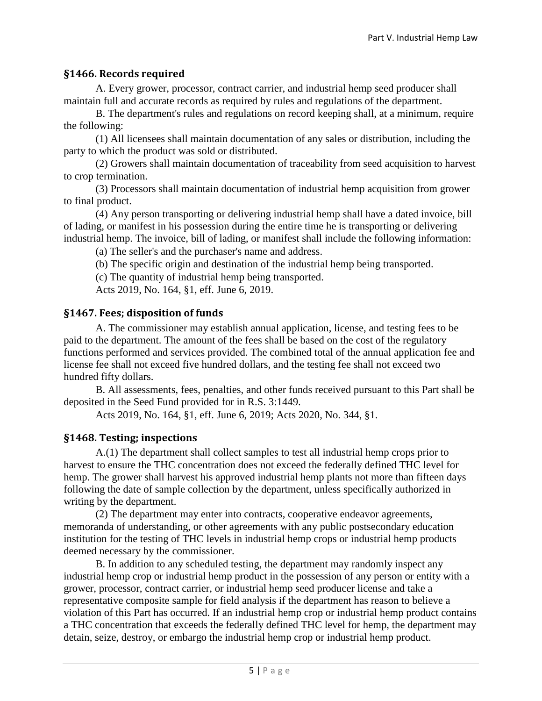## **§1466. Records required**

 A. Every grower, processor, contract carrier, and industrial hemp seed producer shall maintain full and accurate records as required by rules and regulations of the department.

 B. The department's rules and regulations on record keeping shall, at a minimum, require the following:

 (1) All licensees shall maintain documentation of any sales or distribution, including the party to which the product was sold or distributed.

 (2) Growers shall maintain documentation of traceability from seed acquisition to harvest to crop termination.

 (3) Processors shall maintain documentation of industrial hemp acquisition from grower to final product.

 (4) Any person transporting or delivering industrial hemp shall have a dated invoice, bill of lading, or manifest in his possession during the entire time he is transporting or delivering industrial hemp. The invoice, bill of lading, or manifest shall include the following information:

(a) The seller's and the purchaser's name and address.

(b) The specific origin and destination of the industrial hemp being transported.

(c) The quantity of industrial hemp being transported.

Acts 2019, No. 164, §1, eff. June 6, 2019.

## **§1467. Fees; disposition of funds**

 A. The commissioner may establish annual application, license, and testing fees to be paid to the department. The amount of the fees shall be based on the cost of the regulatory functions performed and services provided. The combined total of the annual application fee and license fee shall not exceed five hundred dollars, and the testing fee shall not exceed two hundred fifty dollars.

 B. All assessments, fees, penalties, and other funds received pursuant to this Part shall be deposited in the Seed Fund provided for in R.S. 3:1449.

Acts 2019, No. 164, §1, eff. June 6, 2019; Acts 2020, No. 344, §1.

## **§1468. Testing; inspections**

 A.(1) The department shall collect samples to test all industrial hemp crops prior to harvest to ensure the THC concentration does not exceed the federally defined THC level for hemp. The grower shall harvest his approved industrial hemp plants not more than fifteen days following the date of sample collection by the department, unless specifically authorized in writing by the department.

 (2) The department may enter into contracts, cooperative endeavor agreements, memoranda of understanding, or other agreements with any public postsecondary education institution for the testing of THC levels in industrial hemp crops or industrial hemp products deemed necessary by the commissioner.

 B. In addition to any scheduled testing, the department may randomly inspect any industrial hemp crop or industrial hemp product in the possession of any person or entity with a grower, processor, contract carrier, or industrial hemp seed producer license and take a representative composite sample for field analysis if the department has reason to believe a violation of this Part has occurred. If an industrial hemp crop or industrial hemp product contains a THC concentration that exceeds the federally defined THC level for hemp, the department may detain, seize, destroy, or embargo the industrial hemp crop or industrial hemp product.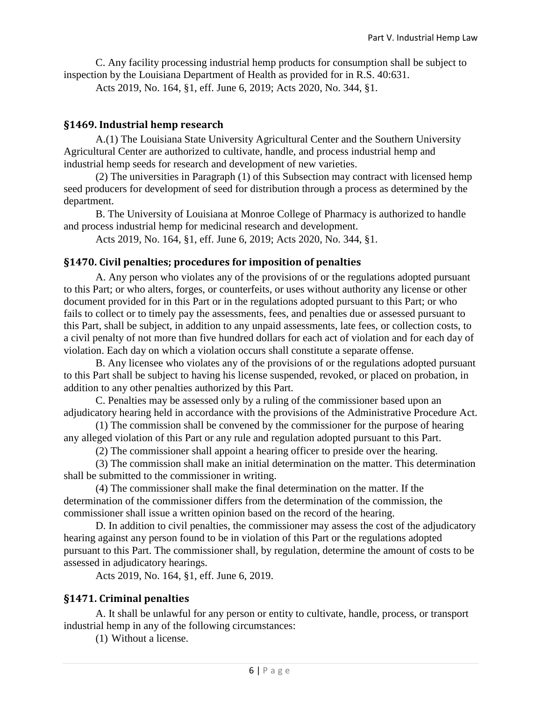C. Any facility processing industrial hemp products for consumption shall be subject to inspection by the Louisiana Department of Health as provided for in R.S. 40:631.

Acts 2019, No. 164, §1, eff. June 6, 2019; Acts 2020, No. 344, §1.

## **§1469. Industrial hemp research**

 A.(1) The Louisiana State University Agricultural Center and the Southern University Agricultural Center are authorized to cultivate, handle, and process industrial hemp and industrial hemp seeds for research and development of new varieties.

 (2) The universities in Paragraph (1) of this Subsection may contract with licensed hemp seed producers for development of seed for distribution through a process as determined by the department.

 B. The University of Louisiana at Monroe College of Pharmacy is authorized to handle and process industrial hemp for medicinal research and development.

Acts 2019, No. 164, §1, eff. June 6, 2019; Acts 2020, No. 344, §1.

#### **§1470. Civil penalties; procedures for imposition of penalties**

 A. Any person who violates any of the provisions of or the regulations adopted pursuant to this Part; or who alters, forges, or counterfeits, or uses without authority any license or other document provided for in this Part or in the regulations adopted pursuant to this Part; or who fails to collect or to timely pay the assessments, fees, and penalties due or assessed pursuant to this Part, shall be subject, in addition to any unpaid assessments, late fees, or collection costs, to a civil penalty of not more than five hundred dollars for each act of violation and for each day of violation. Each day on which a violation occurs shall constitute a separate offense.

 B. Any licensee who violates any of the provisions of or the regulations adopted pursuant to this Part shall be subject to having his license suspended, revoked, or placed on probation, in addition to any other penalties authorized by this Part.

 C. Penalties may be assessed only by a ruling of the commissioner based upon an adjudicatory hearing held in accordance with the provisions of the Administrative Procedure Act.

 (1) The commission shall be convened by the commissioner for the purpose of hearing any alleged violation of this Part or any rule and regulation adopted pursuant to this Part.

(2) The commissioner shall appoint a hearing officer to preside over the hearing.

 (3) The commission shall make an initial determination on the matter. This determination shall be submitted to the commissioner in writing.

 (4) The commissioner shall make the final determination on the matter. If the determination of the commissioner differs from the determination of the commission, the commissioner shall issue a written opinion based on the record of the hearing.

 D. In addition to civil penalties, the commissioner may assess the cost of the adjudicatory hearing against any person found to be in violation of this Part or the regulations adopted pursuant to this Part. The commissioner shall, by regulation, determine the amount of costs to be assessed in adjudicatory hearings.

Acts 2019, No. 164, §1, eff. June 6, 2019.

## **§1471. Criminal penalties**

 A. It shall be unlawful for any person or entity to cultivate, handle, process, or transport industrial hemp in any of the following circumstances:

(1) Without a license.